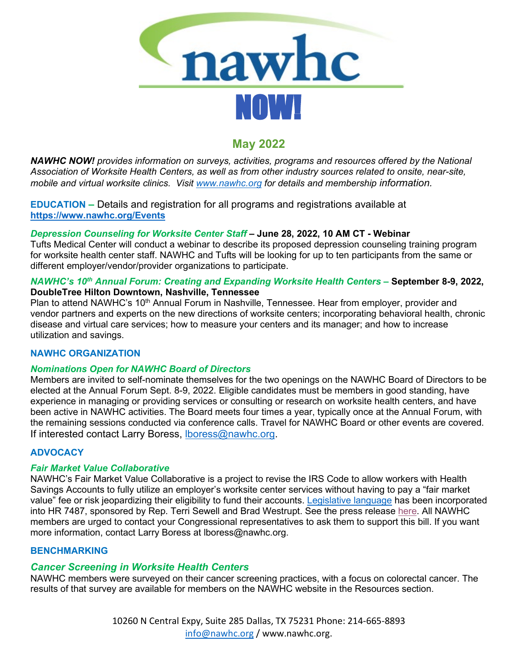

# **May 2022**

*NAWHC NOW! provides information on surveys, activities, programs and resources offered by the National Association of Worksite Health Centers, as well as from other industry sources related to onsite, near-site, mobile and virtual worksite clinics. Visit [www.nawhc.org](http://www.nawhc.org/) for details and membership information.*

**EDUCATION –** Details and registration for all programs and registrations available at **<https://www.nawhc.org/Events>**

# *Depression Counseling for Worksite Center Staff* **– June 28, 2022, 10 AM CT - Webinar**

Tufts Medical Center will conduct a webinar to describe its proposed depression counseling training program for worksite health center staff. NAWHC and Tufts will be looking for up to ten participants from the same or different employer/vendor/provider organizations to participate.

## *NAWHC's 10th Annual Forum: Creating and Expanding Worksite Health Centers –* **September 8-9, 2022, DoubleTree Hilton Downtown, Nashville, Tennessee**

Plan to attend NAWHC's 10<sup>th</sup> Annual Forum in Nashville, Tennessee. Hear from employer, provider and vendor partners and experts on the new directions of worksite centers; incorporating behavioral health, chronic disease and virtual care services; how to measure your centers and its manager; and how to increase utilization and savings.

## **NAWHC ORGANIZATION**

## *Nominations Open for NAWHC Board of Directors*

Members are invited to self-nominate themselves for the two openings on the NAWHC Board of Directors to be elected at the Annual Forum Sept. 8-9, 2022. Eligible candidates must be members in good standing, have experience in managing or providing services or consulting or research on worksite health centers, and have been active in NAWHC activities. The Board meets four times a year, typically once at the Annual Forum, with the remaining sessions conducted via conference calls. Travel for NAWHC Board or other events are covered. If interested contact Larry Boress, [lboress@nawhc.org.](mailto:lboress@nawhc.org)

## **ADVOCACY**

## *Fair Market Value Collaborative*

NAWHC's Fair Market Value Collaborative is a project to revise the IRS Code to allow workers with Health Savings Accounts to fully utilize an employer's worksite center services without having to pay a "fair market value" fee or risk jeopardizing their eligibility to fund their accounts. [Legislative language](https://www.nawhc.org/resources/SEWELL_038_xml.pdf) has been incorporated into HR 7487, sponsored by Rep. Terri Sewell and Brad Westrupt. See the press release [here.](https://altoday.com/archives/44906-rep-terri-sewell-joins-bipartisan-bill-to-protect-employer-provided-worksite-health-clinics) All NAWHC members are urged to contact your Congressional representatives to ask them to support this bill. If you want more information, contact Larry Boress at lboress@nawhc.org.

## **BENCHMARKING**

# *Cancer Screening in Worksite Health Centers*

NAWHC members were surveyed on their cancer screening practices, with a focus on colorectal cancer. The results of that survey are available for members on the NAWHC website in the Resources section.

> 10260 N Central Expy, Suite 285 Dallas, TX 75231 Phone: 214-665-8893 [info@nawhc.org](mailto:info@nawhc.org) / www.nawhc.org.